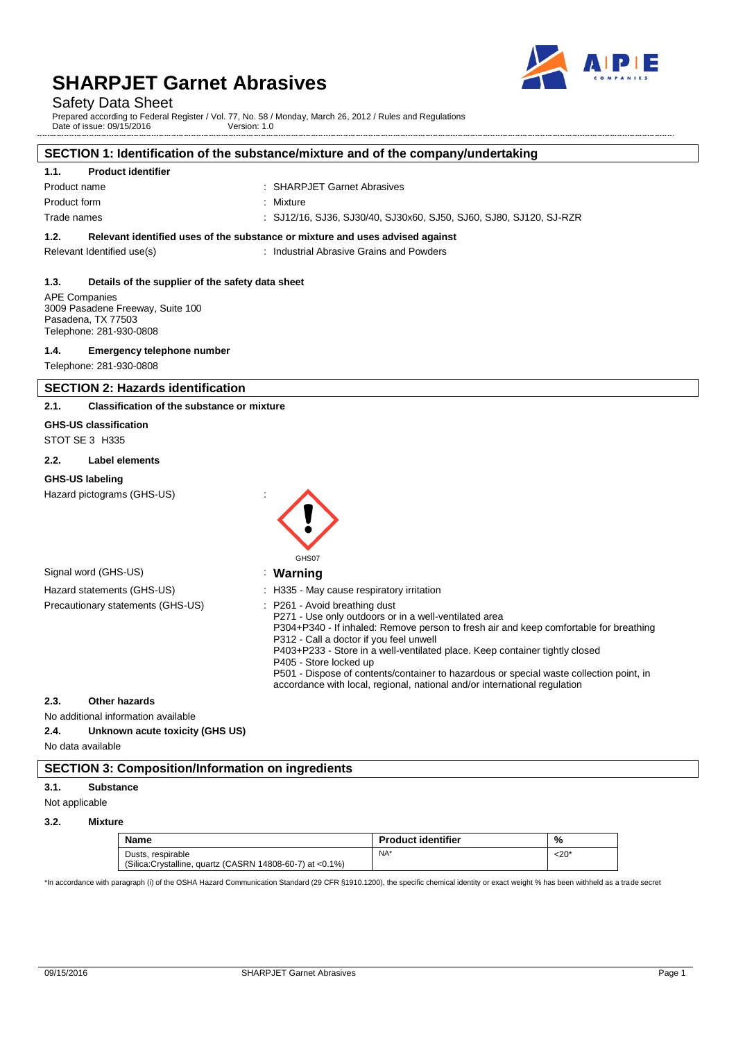

## Safety Data Sheet

Prepared according to Federal Register / Vol. 77, No. 58 / Monday, March 26, 2012 / Rules and Regulations Date of issue: 09/15/2016 Version: 1.0

#### **SECTION 1: Identification of the substance/mixture and of the company/undertaking**

#### **1.1. Product identifier**

| Product name | : SHARPJET Garnet Abrasives                                        |
|--------------|--------------------------------------------------------------------|
| Product form | : Mixture                                                          |
| Trade names  | : SJ12/16, SJ36, SJ30/40, SJ30x60, SJ50, SJ60, SJ80, SJ120, SJ-RZR |
|              |                                                                    |

## **1.2. Relevant identified uses of the substance or mixture and uses advised against**

Relevant Identified use(s) The Contract Contract Chevant Identified use(s) contract Chevant Chevantes Chevantes

#### **1.3. Details of the supplier of the safety data sheet**

APE Companies 3009 Pasadene Freeway, Suite 100 Pasadena, TX 77503 Telephone: 281-930-0808

#### **1.4. Emergency telephone number**

Telephone: 281-930-0808

#### **SECTION 2: Hazards identification**

#### **2.1. Classification of the substance or mixture**

**GHS-US classification**

STOT SE 3 H335

#### **2.2. Label elements**

#### **GHS-US labeling**

Hazard pictograms (GHS-US) :



| Signal word (GHS-US)              | Warning                                                                                                                                                                                                                    |
|-----------------------------------|----------------------------------------------------------------------------------------------------------------------------------------------------------------------------------------------------------------------------|
| Hazard statements (GHS-US)        | . H335 - May cause respiratory irritation                                                                                                                                                                                  |
| Precautionary statements (GHS-US) | : P261 - Avoid breathing dust<br>P271 - Use only outdoors or in a well-ventilated area<br>P304+P340 - If inhaled: Remove person to fresh air and keep comfortable for breathing<br>P312 - Call a doctor if you feel unwell |

#### P403+P233 - Store in a well-ventilated place. Keep container tightly closed P405 - Store locked up

P501 - Dispose of contents/container to hazardous or special waste collection point, in accordance with local, regional, national and/or international regulation

#### **2.3. Other hazards**

No additional information available

**2.4. Unknown acute toxicity (GHS US)**

No data available

#### **SECTION 3: Composition/Information on ingredients**

#### **3.1. Substance**

Not applicable

**3.2. Mixture**

| <b>Name</b>                                                                   | <b>Product identifier</b> | %          |
|-------------------------------------------------------------------------------|---------------------------|------------|
| Dusts, respirable<br>(Silica:Crystalline, quartz (CASRN 14808-60-7) at <0.1%) | NA*                       | $<$ 20 $*$ |

\*In accordance with paragraph (i) of the OSHA Hazard Communication Standard (29 CFR §1910.1200), the specific chemical identity or exact weight % has been withheld as a trade secret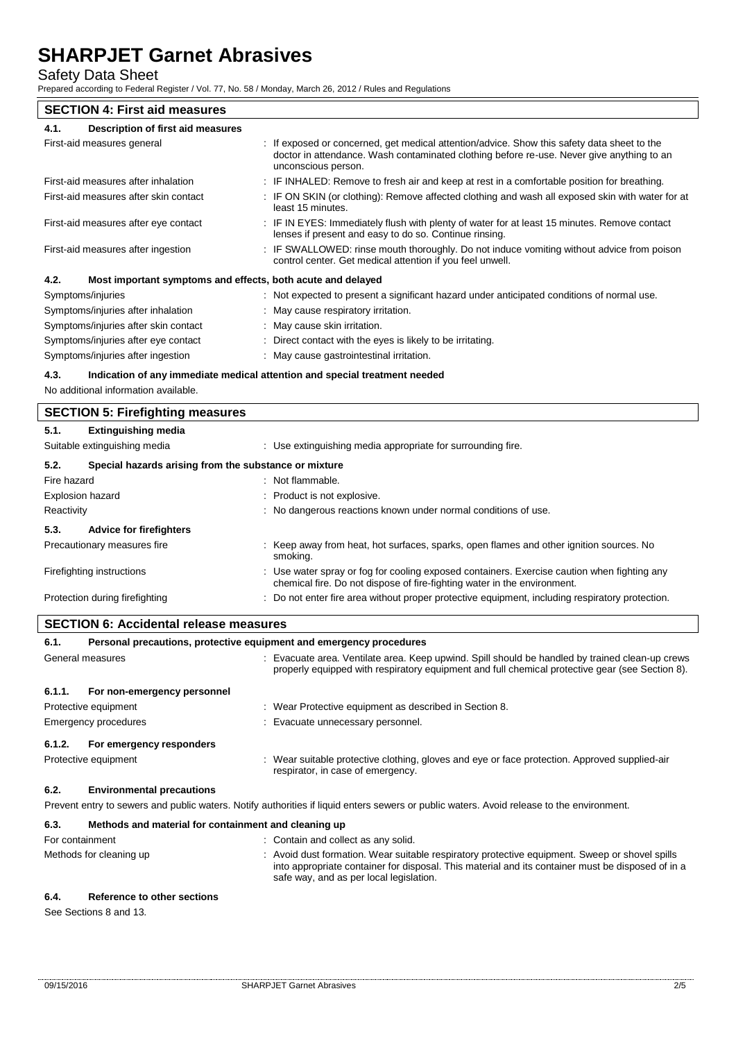Safety Data Sheet

Prepared according to Federal Register / Vol. 77, No. 58 / Monday, March 26, 2012 / Rules and Regulations

## **SECTION 4: First aid measures**

| Description of first aid measures<br>4.1.                           |                                                                                                                                                                                                                 |
|---------------------------------------------------------------------|-----------------------------------------------------------------------------------------------------------------------------------------------------------------------------------------------------------------|
| First-aid measures general                                          | : If exposed or concerned, get medical attention/advice. Show this safety data sheet to the<br>doctor in attendance. Wash contaminated clothing before re-use. Never give anything to an<br>unconscious person. |
| First-aid measures after inhalation                                 | : IF INHALED: Remove to fresh air and keep at rest in a comfortable position for breathing.                                                                                                                     |
| First-aid measures after skin contact                               | : IF ON SKIN (or clothing): Remove affected clothing and wash all exposed skin with water for at<br>least 15 minutes.                                                                                           |
| First-aid measures after eye contact                                | : IF IN EYES: Immediately flush with plenty of water for at least 15 minutes. Remove contact<br>lenses if present and easy to do so. Continue rinsing.                                                          |
| First-aid measures after ingestion                                  | : IF SWALLOWED: rinse mouth thoroughly. Do not induce vomiting without advice from poison<br>control center. Get medical attention if you feel unwell.                                                          |
| 4.2.<br>Most important symptoms and effects, both acute and delayed |                                                                                                                                                                                                                 |
| Symptoms/injuries                                                   | : Not expected to present a significant hazard under anticipated conditions of normal use.                                                                                                                      |
| Symptoms/injuries after inhalation                                  | : May cause respiratory irritation.                                                                                                                                                                             |
| Symptoms/injuries after skin contact                                | : May cause skin irritation.                                                                                                                                                                                    |
| Symptoms/injuries after eye contact                                 | : Direct contact with the eyes is likely to be irritating.                                                                                                                                                      |

Symptoms/injuries after ingestion : May cause gastrointestinal irritation.

#### **4.3. Indication of any immediate medical attention and special treatment needed**

No additional information available.

|                         | <b>SECTION 5: Firefighting measures</b>               |  |                                                                                                                                                                         |  |
|-------------------------|-------------------------------------------------------|--|-------------------------------------------------------------------------------------------------------------------------------------------------------------------------|--|
| 5.1.                    | <b>Extinguishing media</b>                            |  |                                                                                                                                                                         |  |
|                         | Suitable extinguishing media                          |  | : Use extinguishing media appropriate for surrounding fire.                                                                                                             |  |
| 5.2.                    | Special hazards arising from the substance or mixture |  |                                                                                                                                                                         |  |
| Fire hazard             |                                                       |  | : Not flammable.                                                                                                                                                        |  |
| <b>Explosion hazard</b> |                                                       |  | : Product is not explosive.                                                                                                                                             |  |
| Reactivity              |                                                       |  | : No dangerous reactions known under normal conditions of use.                                                                                                          |  |
| 5.3.                    | <b>Advice for firefighters</b>                        |  |                                                                                                                                                                         |  |
|                         | Precautionary measures fire                           |  | : Keep away from heat, hot surfaces, sparks, open flames and other ignition sources. No<br>smoking.                                                                     |  |
|                         | Firefighting instructions                             |  | : Use water spray or fog for cooling exposed containers. Exercise caution when fighting any<br>chemical fire. Do not dispose of fire-fighting water in the environment. |  |
|                         | Protection during firefighting                        |  | : Do not enter fire area without proper protective equipment, including respiratory protection.                                                                         |  |

| 6.1.             | Personal precautions, protective equipment and emergency procedures |  |                                                                                                                                                                                                  |
|------------------|---------------------------------------------------------------------|--|--------------------------------------------------------------------------------------------------------------------------------------------------------------------------------------------------|
| General measures |                                                                     |  | Evacuate area. Ventilate area. Keep upwind. Spill should be handled by trained clean-up crews<br>properly equipped with respiratory equipment and full chemical protective gear (see Section 8). |
| 6.1.1.           | For non-emergency personnel                                         |  |                                                                                                                                                                                                  |
|                  | Protective equipment                                                |  | : Wear Protective equipment as described in Section 8.                                                                                                                                           |
|                  | <b>Emergency procedures</b>                                         |  | : Evacuate unnecessary personnel.                                                                                                                                                                |
| 6.1.2.           | For emergency responders                                            |  |                                                                                                                                                                                                  |
|                  | Protective equipment                                                |  | : Wear suitable protective clothing, gloves and eye or face protection. Approved supplied-air<br>respirator, in case of emergency.                                                               |
| 6.2.             | <b>Environmental precautions</b>                                    |  |                                                                                                                                                                                                  |
|                  |                                                                     |  | Prevent entry to sewers and public waters. Notify authorities if liquid enters sewers or public waters. Avoid release to the environment.                                                        |

#### **6.3. Methods and material for containment and cleaning up**

| For containment         | : Contain and collect as any solid.                                                                                                                                                                                                          |
|-------------------------|----------------------------------------------------------------------------------------------------------------------------------------------------------------------------------------------------------------------------------------------|
| Methods for cleaning up | Avoid dust formation. Wear suitable respiratory protective equipment. Sweep or shovel spills<br>into appropriate container for disposal. This material and its container must be disposed of in a<br>safe way, and as per local legislation. |

#### **6.4. Reference to other sections**

See Sections 8 and 13.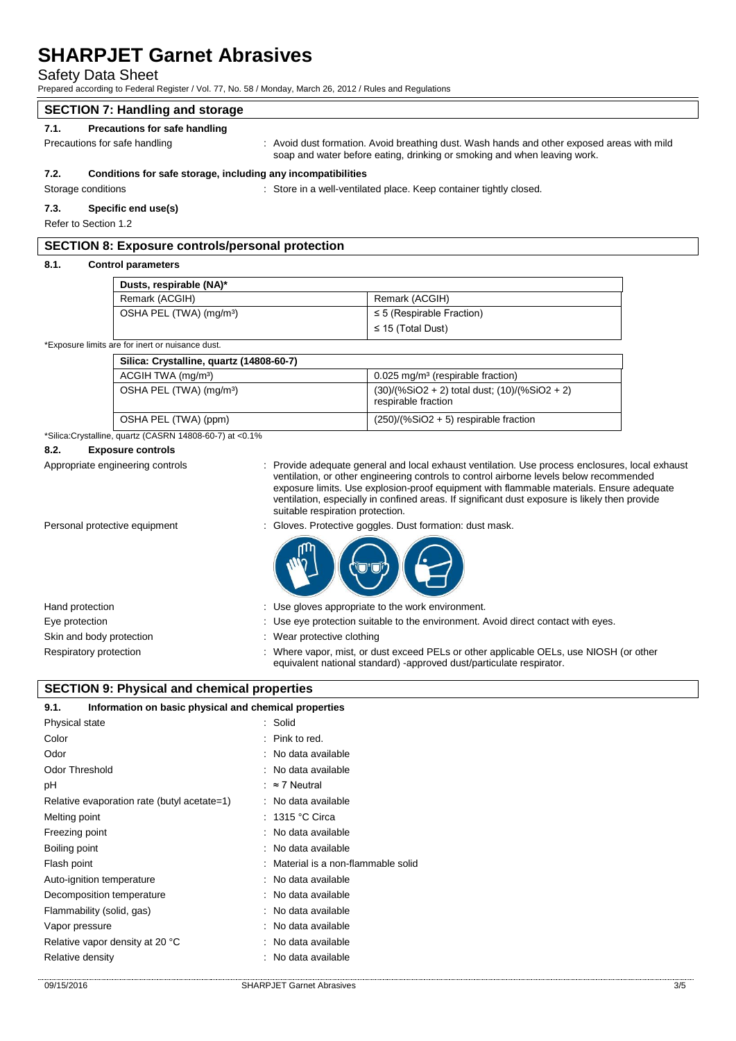| $\blacksquare$<br><b>Safety Data Sheet</b><br>Prepared according to Federal Register / Vol. 77, No. 58 / Monday, March 26, 2012 / Rules and Regulations |                                                              |                                  |                                                                                                                                                                                                                                                                                                                                                                                        |
|---------------------------------------------------------------------------------------------------------------------------------------------------------|--------------------------------------------------------------|----------------------------------|----------------------------------------------------------------------------------------------------------------------------------------------------------------------------------------------------------------------------------------------------------------------------------------------------------------------------------------------------------------------------------------|
|                                                                                                                                                         | <b>SECTION 7: Handling and storage</b>                       |                                  |                                                                                                                                                                                                                                                                                                                                                                                        |
| 7.1.                                                                                                                                                    | Precautions for safe handling                                |                                  |                                                                                                                                                                                                                                                                                                                                                                                        |
| Precautions for safe handling                                                                                                                           |                                                              |                                  | : Avoid dust formation. Avoid breathing dust. Wash hands and other exposed areas with mild<br>soap and water before eating, drinking or smoking and when leaving work.                                                                                                                                                                                                                 |
| 7.2.                                                                                                                                                    | Conditions for safe storage, including any incompatibilities |                                  |                                                                                                                                                                                                                                                                                                                                                                                        |
| Storage conditions                                                                                                                                      |                                                              |                                  | : Store in a well-ventilated place. Keep container tightly closed.                                                                                                                                                                                                                                                                                                                     |
| 7.3.                                                                                                                                                    | Specific end use(s)                                          |                                  |                                                                                                                                                                                                                                                                                                                                                                                        |
| Refer to Section 1.2                                                                                                                                    |                                                              |                                  |                                                                                                                                                                                                                                                                                                                                                                                        |
|                                                                                                                                                         | <b>SECTION 8: Exposure controls/personal protection</b>      |                                  |                                                                                                                                                                                                                                                                                                                                                                                        |
| 8.1.                                                                                                                                                    | <b>Control parameters</b>                                    |                                  |                                                                                                                                                                                                                                                                                                                                                                                        |
|                                                                                                                                                         | Dusts, respirable (NA)*                                      |                                  |                                                                                                                                                                                                                                                                                                                                                                                        |
|                                                                                                                                                         | Remark (ACGIH)                                               |                                  | Remark (ACGIH)                                                                                                                                                                                                                                                                                                                                                                         |
|                                                                                                                                                         | OSHA PEL (TWA) (mg/m <sup>3</sup> )                          |                                  | $\leq$ 5 (Respirable Fraction)                                                                                                                                                                                                                                                                                                                                                         |
|                                                                                                                                                         |                                                              |                                  | $\leq$ 15 (Total Dust)                                                                                                                                                                                                                                                                                                                                                                 |
|                                                                                                                                                         | *Exposure limits are for inert or nuisance dust.             |                                  |                                                                                                                                                                                                                                                                                                                                                                                        |
|                                                                                                                                                         | Silica: Crystalline, quartz (14808-60-7)                     |                                  |                                                                                                                                                                                                                                                                                                                                                                                        |
|                                                                                                                                                         | ACGIH TWA (mg/m <sup>3</sup> )                               |                                  | 0.025 mg/m <sup>3</sup> (respirable fraction)                                                                                                                                                                                                                                                                                                                                          |
|                                                                                                                                                         | OSHA PEL (TWA) (mg/m <sup>3</sup> )                          |                                  | $(30)/(%SiO2 + 2)$ total dust; $(10)/(%SiO2 + 2)$<br>respirable fraction                                                                                                                                                                                                                                                                                                               |
|                                                                                                                                                         | OSHA PEL (TWA) (ppm)                                         |                                  | $(250)/(%SiO2 + 5)$ respirable fraction                                                                                                                                                                                                                                                                                                                                                |
|                                                                                                                                                         | *Silica:Crystalline, quartz (CASRN 14808-60-7) at <0.1%      |                                  |                                                                                                                                                                                                                                                                                                                                                                                        |
| 8.2.                                                                                                                                                    | <b>Exposure controls</b><br>Appropriate engineering controls | suitable respiration protection. | Provide adequate general and local exhaust ventilation. Use process enclosures, local exhaust<br>ventilation, or other engineering controls to control airborne levels below recommended<br>exposure limits. Use explosion-proof equipment with flammable materials. Ensure adequate<br>ventilation, especially in confined areas. If significant dust exposure is likely then provide |
|                                                                                                                                                         | Personal protective equipment                                |                                  | Gloves. Protective goggles. Dust formation: dust mask.                                                                                                                                                                                                                                                                                                                                 |
| Hand protection                                                                                                                                         |                                                              |                                  | Use gloves appropriate to the work environment.                                                                                                                                                                                                                                                                                                                                        |
| Eye protection                                                                                                                                          |                                                              |                                  | : Use eye protection suitable to the environment. Avoid direct contact with eyes.                                                                                                                                                                                                                                                                                                      |
| Skin and body protection                                                                                                                                |                                                              | Wear protective clothing         |                                                                                                                                                                                                                                                                                                                                                                                        |
| Respiratory protection                                                                                                                                  |                                                              |                                  | Where vapor, mist, or dust exceed PELs or other applicable OELs, use NIOSH (or other<br>equivalent national standard) -approved dust/particulate respirator.                                                                                                                                                                                                                           |
|                                                                                                                                                         | <b>SECTION 9: Physical and chemical properties</b>           |                                  |                                                                                                                                                                                                                                                                                                                                                                                        |
| 9.1.                                                                                                                                                    | Information on basic physical and chemical properties        |                                  |                                                                                                                                                                                                                                                                                                                                                                                        |
| Physical state                                                                                                                                          |                                                              | Solid                            |                                                                                                                                                                                                                                                                                                                                                                                        |
| Color                                                                                                                                                   |                                                              | Pink to red.                     |                                                                                                                                                                                                                                                                                                                                                                                        |
| Odor                                                                                                                                                    |                                                              | No data available                |                                                                                                                                                                                                                                                                                                                                                                                        |
| <b>Odor Threshold</b>                                                                                                                                   |                                                              | No data available                |                                                                                                                                                                                                                                                                                                                                                                                        |
| pH                                                                                                                                                      |                                                              | $\approx$ 7 Neutral              |                                                                                                                                                                                                                                                                                                                                                                                        |
|                                                                                                                                                         | Relative evaporation rate (butyl acetate=1)                  | No data available                |                                                                                                                                                                                                                                                                                                                                                                                        |
| Melting point                                                                                                                                           |                                                              | 1315 °C Circa                    |                                                                                                                                                                                                                                                                                                                                                                                        |
| Freezing point                                                                                                                                          |                                                              | No data available                |                                                                                                                                                                                                                                                                                                                                                                                        |
|                                                                                                                                                         |                                                              |                                  |                                                                                                                                                                                                                                                                                                                                                                                        |

- Boiling point **in the case of the case of the case of the case of the case of the case of the case of the case of the case of the case of the case of the case of the case of the case of the case of the case of the case of** Flash point **in the case of the case of the case of the case of the case of the case of the case of the case of the case of the case of the case of the case of the case of the case of the case of the case of the case of th** Auto-ignition temperature **interest and the Control Control**: No data available Decomposition temperature : No data available
- Flammability (solid, gas)  $\qquad \qquad$ : No data available Vapor pressure in the set of the set of the SV apor pressure in the set of the SV aport of the SV and the SV aport of the SV and the SV aport of the SV aport of the SV aport of the SV aport of the SV aport of the SV aport Relative vapor density at 20 °C : No data available Relative density **Example 20** and  $\overline{a}$  **No data available**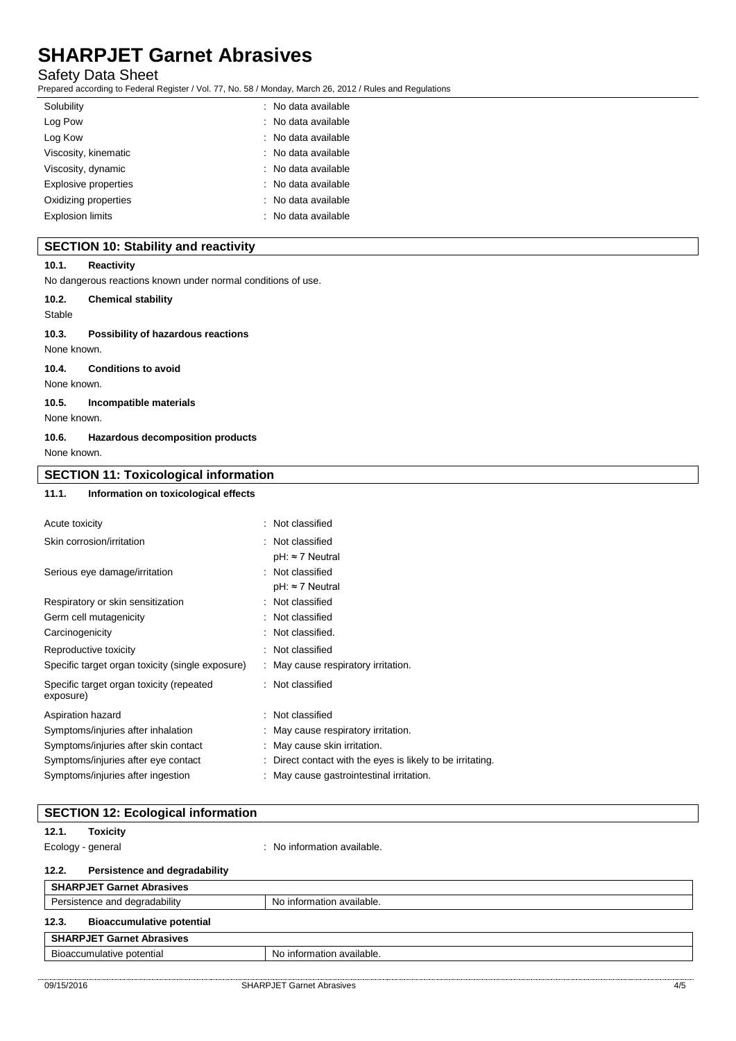### Safety Data Sheet

Prepared according to Federal Register / Vol. 77, No. 58 / Monday, March 26, 2012 / Rules and Regulations

| Solubility              | : No data available |
|-------------------------|---------------------|
| Log Pow                 | : No data available |
| Log Kow                 | : No data available |
| Viscosity, kinematic    | : No data available |
| Viscosity, dynamic      | : No data available |
| Explosive properties    | : No data available |
| Oxidizing properties    | : No data available |
| <b>Explosion limits</b> | : No data available |
|                         |                     |

## **SECTION 10: Stability and reactivity**

#### **10.1. Reactivity**

No dangerous reactions known under normal conditions of use.

| 10.2.       | <b>Chemical stability</b>                 |
|-------------|-------------------------------------------|
| Stable      |                                           |
| 10.3.       | <b>Possibility of hazardous reactions</b> |
| None known. |                                           |
| 10.4.       | <b>Conditions to avoid</b>                |

None known.

#### **10.5. Incompatible materials**

None known.

#### **10.6. Hazardous decomposition products** None known.

| <b>SECTION 11: Toxicological information</b> |                                      |                  |  |
|----------------------------------------------|--------------------------------------|------------------|--|
| 11.1.                                        | Information on toxicological effects |                  |  |
| Acute toxicity                               |                                      | : Not classified |  |
| Skin corrosion/irritation                    |                                      | : Not classified |  |

|                                                       | $pH: \approx 7$ Neutral                                    |
|-------------------------------------------------------|------------------------------------------------------------|
| Serious eye damage/irritation                         | : Not classified                                           |
|                                                       | $pH: \approx 7$ Neutral                                    |
| Respiratory or skin sensitization                     | : Not classified                                           |
| Germ cell mutagenicity                                | : Not classified                                           |
| Carcinogenicity                                       | : Not classified.                                          |
| Reproductive toxicity                                 | : Not classified                                           |
| Specific target organ toxicity (single exposure)      | : May cause respiratory irritation.                        |
| Specific target organ toxicity (repeated<br>exposure) | : Not classified                                           |
| Aspiration hazard                                     | : Not classified                                           |
| Symptoms/injuries after inhalation                    | : May cause respiratory irritation.                        |
| Symptoms/injuries after skin contact                  | : May cause skin irritation.                               |
| Symptoms/injuries after eye contact                   | : Direct contact with the eyes is likely to be irritating. |
| Symptoms/injuries after ingestion                     | May cause gastrointestinal irritation.                     |
|                                                       |                                                            |

|                   | <b>SECTION 12: Ecological information</b> |                             |  |
|-------------------|-------------------------------------------|-----------------------------|--|
| 12.1.             | <b>Toxicity</b>                           |                             |  |
| Ecology - general |                                           | : No information available. |  |
| 12.2.             | Persistence and degradability             |                             |  |
|                   | <b>SHARPJET Garnet Abrasives</b>          |                             |  |
|                   | Persistence and degradability             | No information available.   |  |
| 12.3.             | <b>Bioaccumulative potential</b>          |                             |  |
|                   | <b>SHARPJET Garnet Abrasives</b>          |                             |  |

# Bioaccumulative potential No information available.